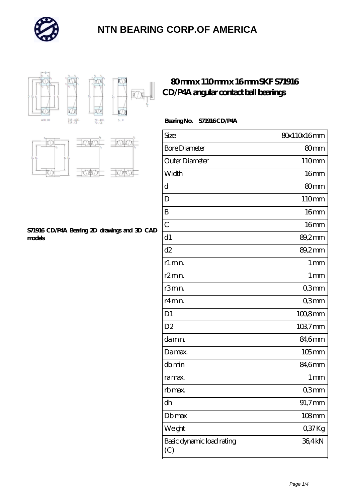



### **[80 mm x 110 mm x 16 mm SKF S71916](https://m.autopartscompanies.com/bb-199196-skf-s71916-cd-p4a-angular-contact-ball-bearings.html) [CD/P4A angular contact ball bearings](https://m.autopartscompanies.com/bb-199196-skf-s71916-cd-p4a-angular-contact-ball-bearings.html)**

#### **Bearing No. S71916 CD/P4A**

| Size                             | 80x110x16mm       |
|----------------------------------|-------------------|
| <b>Bore Diameter</b>             | 80mm              |
| Outer Diameter                   | 110mm             |
| Width                            | 16 <sub>mm</sub>  |
| d                                | 80 <sub>mm</sub>  |
| D                                | 110mm             |
| B                                | 16 <sub>mm</sub>  |
| $\overline{C}$                   | 16 <sub>mm</sub>  |
| d1                               | 89,2mm            |
| d2                               | 89,2mm            |
| r1 min.                          | 1 <sub>mm</sub>   |
| r <sub>2</sub> min.              | 1 <sub>mm</sub>   |
| r3min.                           | Q3mm              |
| r4min.                           | Q3mm              |
| D <sub>1</sub>                   | $1008$ mm         |
| D <sub>2</sub>                   | $1037 \text{mm}$  |
| damin.                           | 84,6mm            |
| Damax.                           | $105$ mm          |
| dbmin                            | 84,6mm            |
| ra max.                          | $1 \,\mathrm{mm}$ |
| rb max.                          | Q3mm              |
| dh                               | 91,7mm            |
| Dbmax                            | $108$ mm          |
| Weight                           | Q37Kg             |
| Basic dynamic load rating<br>(C) | 36,4kN            |



#### **[S71916 CD/P4A Bearing 2D drawings and 3D CAD](https://m.autopartscompanies.com/pic-199196.html) [models](https://m.autopartscompanies.com/pic-199196.html)**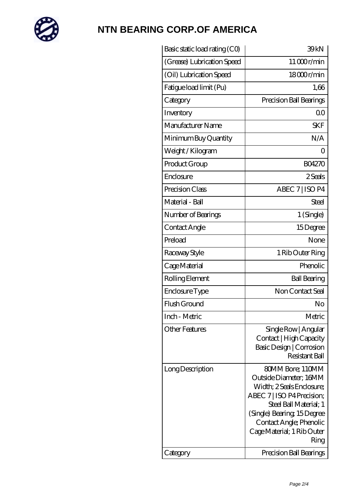

| Basic static load rating (CO) | 39kN                                                                                                                                                                                                                          |
|-------------------------------|-------------------------------------------------------------------------------------------------------------------------------------------------------------------------------------------------------------------------------|
| (Grease) Lubrication Speed    | 11000r/min                                                                                                                                                                                                                    |
| (Oil) Lubrication Speed       | 18000r/min                                                                                                                                                                                                                    |
| Fatigue load limit (Pu)       | 1,66                                                                                                                                                                                                                          |
| Category                      | Precision Ball Bearings                                                                                                                                                                                                       |
| Inventory                     | Q0                                                                                                                                                                                                                            |
| Manufacturer Name             | <b>SKF</b>                                                                                                                                                                                                                    |
| Minimum Buy Quantity          | N/A                                                                                                                                                                                                                           |
| Weight/Kilogram               | Ο                                                                                                                                                                                                                             |
| Product Group                 | <b>BO4270</b>                                                                                                                                                                                                                 |
| Enclosure                     | 2 Seals                                                                                                                                                                                                                       |
| Precision Class               | ABEC 7   ISO P4                                                                                                                                                                                                               |
| Material - Ball               | Steel                                                                                                                                                                                                                         |
| Number of Bearings            | 1 (Single)                                                                                                                                                                                                                    |
| Contact Angle                 | 15Degree                                                                                                                                                                                                                      |
| Preload                       | None                                                                                                                                                                                                                          |
| Raceway Style                 | 1 Rib Outer Ring                                                                                                                                                                                                              |
| Cage Material                 | Phenolic                                                                                                                                                                                                                      |
| Rolling Element               | <b>Ball Bearing</b>                                                                                                                                                                                                           |
| Enclosure Type                | Non Contact Seal                                                                                                                                                                                                              |
| Flush Ground                  | No                                                                                                                                                                                                                            |
| Inch - Metric                 | Metric                                                                                                                                                                                                                        |
| <b>Other Features</b>         | Single Row   Angular<br>Contact   High Capacity<br>Basic Design   Corrosion<br>Resistant Ball                                                                                                                                 |
| Long Description              | 80MM Bore; 110MM<br>Outside Diameter; 16MM<br>Width; 2 Seals Enclosure;<br>ABEC 7   ISO P4 Precision;<br>Steel Ball Material; 1<br>(Single) Bearing 15Degree<br>Contact Angle; Phenolic<br>Cage Material; 1 Rib Outer<br>Ring |
| Category                      | Precision Ball Bearings                                                                                                                                                                                                       |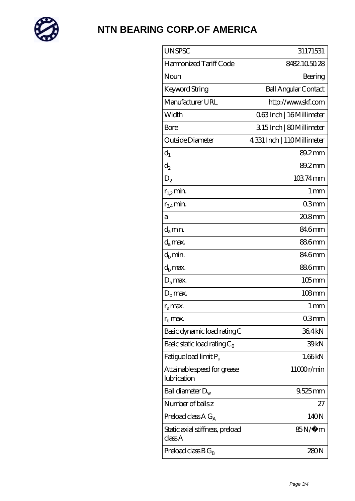

| <b>UNSPSC</b>                              | 31171531                    |
|--------------------------------------------|-----------------------------|
| Harmonized Tariff Code                     | 8482105028                  |
| Noun                                       | Bearing                     |
| <b>Keyword String</b>                      | <b>Ball Angular Contact</b> |
| Manufacturer URL                           | http://www.skf.com          |
| Width                                      | 063Inch   16 Millimeter     |
| Bore                                       | 315Inch   80Millimeter      |
| Outside Diameter                           | 4.331 Inch   110Millimeter  |
| $d_1$                                      | 89.2mm                      |
| $\mathrm{d}_2$                             | 89.2mm                      |
| $D_2$                                      | 10374mm                     |
| $r_{12}$ min.                              | 1 <sub>mm</sub>             |
| $r_{34}$ min.                              | 03mm                        |
| а                                          | $208$ mm                    |
| $d_a$ min.                                 | 84.6mm                      |
| $d_a$ max.                                 | 886mm                       |
| $d_h$ min.                                 | 84.6mm                      |
| $d_h$ max.                                 | 886mm                       |
| $D_a$ max.                                 | $105$ mm                    |
| $Db$ max.                                  | $108$ mm                    |
| $r_a$ max.                                 | 1 <sub>mm</sub>             |
| $rh$ max.                                  | 03mm                        |
| Basic dynamic load rating C                | 364kN                       |
| Basic static load rating $C_0$             | 39 <sub>kN</sub>            |
| Fatigue load limit $P_u$                   | 1.66kN                      |
| Attainable speed for grease<br>lubrication | 11000r/min                  |
| Ball diameter $D_w$                        | $9.525$ mm                  |
| Number of balls z                          | 27                          |
| Preload class $AG_A$                       | 140N                        |
| Static axial stiffness, preload<br>classA  | $85N/\mu$ m                 |
| Preload class $BG_R$                       | 280N                        |